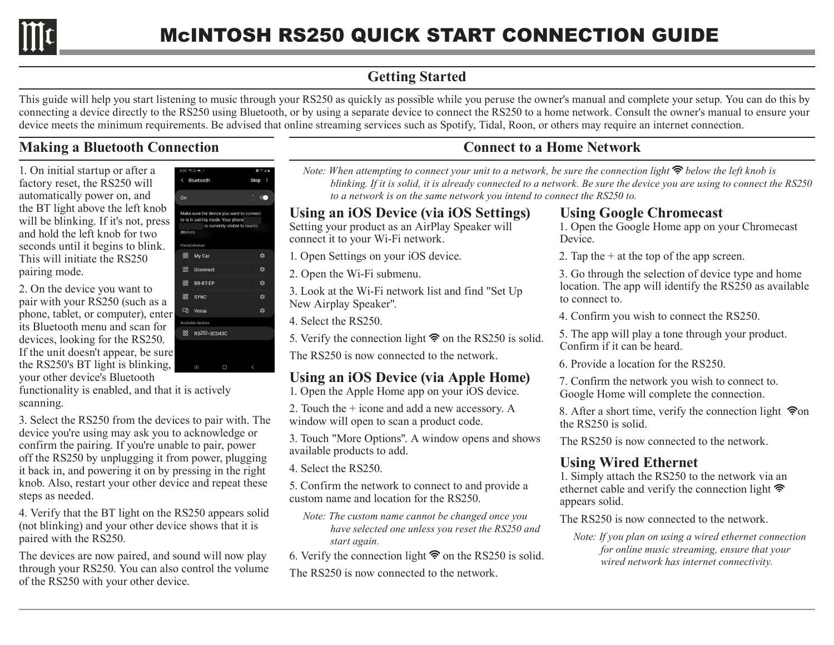

# **Getting Started**

This guide will help you start listening to music through your RS250 as quickly as possible while you peruse the owner's manual and complete your setup. You can do this by connecting a device directly to the RS250 using Bluetooth, or by using a separate device to connect the RS250 to a home network. Consult the owner's manual to ensure your device meets the minimum requirements. Be advised that online streaming services such as Spotify, Tidal, Roon, or others may require an internet connection.

## **Making a Bluetooth Connection**

1. On initial startup or after a factory reset, the RS250 will automatically power on, and the BT light above the left knob will be blinking. If it's not, press and hold the left knob for two seconds until it begins to blink. This will initiate the RS250 pairing mode.

2. On the device you want to pair with your RS250 (such as a phone, tablet, or computer), enter its Bluetooth menu and scan for devices, looking for the RS250. If the unit doesn't appear, be sure the RS250's BT light is blinking, your other device's Bluetooth

functionality is enabled, and that it is actively scanning.

3. Select the RS250 from the devices to pair with. The device you're using may ask you to acknowledge or confirm the pairing. If you're unable to pair, power off the RS250 by unplugging it from power, plugging it back in, and powering it on by pressing in the right knob. Also, restart your other device and repeat these steps as needed.

4. Verify that the BT light on the RS250 appears solid (not blinking) and your other device shows that it is paired with the RS250.

The devices are now paired, and sound will now play through your RS250. You can also control the volume of the RS250 with your other device.

|                              | $8:02 \, \degree$ to $\blacktriangle$ +  | 資金回答   |
|------------------------------|------------------------------------------|--------|
| $\left\langle \right\rangle$ | Bluetooth                                | Stop : |
|                              |                                          |        |
| On                           |                                          |        |
|                              |                                          |        |
|                              | Make sure the device you want to connect |        |
|                              | to is in pairing mode. Your phone        |        |
|                              | is currently visible to nearby           |        |
| devices.                     |                                          |        |
|                              | Paired devices                           |        |
|                              |                                          |        |
| 88                           | My Car                                   | ✿      |
| 88                           | Uconnect                                 | ✿      |
|                              |                                          |        |
| 68                           | <b>BB-BT-EP</b>                          | ✿      |
|                              |                                          |        |
| <b>RR</b>                    | <b>SYNC</b>                              | ✿      |
|                              |                                          |        |
| ᇟ                            | Versa                                    | ✿      |
|                              | Available devices                        |        |
|                              |                                          |        |
| 88                           | RS250-3C043C                             |        |
|                              |                                          |        |
|                              |                                          |        |
|                              |                                          |        |

# **Connect to a Home Network**

*Note: When attempting to connect your unit to a network, be sure the connection light*  $\hat{\mathcal{F}}$  *below the left knob is blinking. If it is solid, it is already connected to a network. Be sure the device you are using to connect the RS250 to a network is on the same network you intend to connect the RS250 to.*

#### **Using an iOS Device (via iOS Settings)**

Setting your product as an AirPlay Speaker will connect it to your Wi-Fi network.

1. Open Settings on your iOS device.

2. Open the Wi-Fi submenu.

3. Look at the Wi-Fi network list and find "Set Up New Airplay Speaker".

4. Select the RS250.

5. Verify the connection light  $\hat{\mathcal{F}}$  on the RS250 is solid.

The RS250 is now connected to the network.

## **Using an iOS Device (via Apple Home)**

1. Open the Apple Home app on your iOS device.

2. Touch the + icone and add a new accessory. A window will open to scan a product code.

3. Touch "More Options". A window opens and shows available products to add.

4. Select the RS250.

5. Confirm the network to connect to and provide a custom name and location for the RS250.

- *Note: The custom name cannot be changed once you have selected one unless you reset the RS250 and start again.*
- 6. Verify the connection light  $\hat{\mathcal{F}}$  on the RS250 is solid.

The RS250 is now connected to the network.

#### **Using Google Chromecast**

1. Open the Google Home app on your Chromecast Device.

2. Tap the  $+$  at the top of the app screen.

3. Go through the selection of device type and home location. The app will identify the RS250 as available to connect to.

4. Confirm you wish to connect the RS250.

5. The app will play a tone through your product. Confirm if it can be heard.

6. Provide a location for the RS250.

7. Confirm the network you wish to connect to. Google Home will complete the connection.

8. After a short time, verify the connection light  $\hat{\mathcal{P}}$ on the RS250 is solid.

The RS250 is now connected to the network.

### **Using Wired Ethernet**

1. Simply attach the RS250 to the network via an ethernet cable and verify the connection light appears solid.

The RS250 is now connected to the network.

*Note: If you plan on using a wired ethernet connection for online music streaming, ensure that your wired network has internet connectivity.*